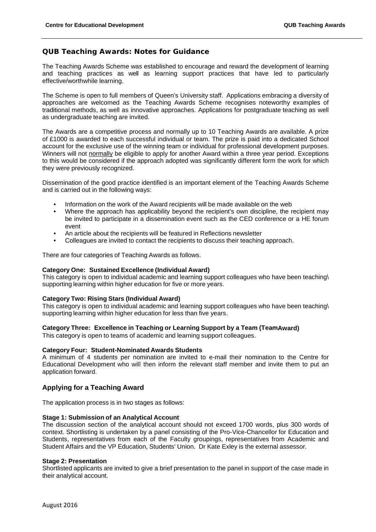## **QUB Teaching Awards: Notes for Guidance**

The Teaching Awards Scheme was established to encourage and reward the development of learning and teaching practices as well as learning support practices that have led to particularly effective/worthwhile learning.

The Scheme is open to full members of Queen's University staff. Applications embracing a diversity of approaches are welcomed as the Teaching Awards Scheme recognises noteworthy examples of traditional methods, as well as innovative approaches. Applications for postgraduate teaching as well as undergraduate teaching are invited.

The Awards are a competitive process and normally up to 10 Teaching Awards are available. A prize of £1000 is awarded to each successful individual or team. The prize is paid into a dedicated School account for the exclusive use of the winning team or individual for professional development purposes. Winners will not normally be eligible to apply for another Award within a three year period. Exceptions to this would be considered if the approach adopted was significantly different form the work for which they were previously recognized.

Dissemination of the good practice identified is an important element of the Teaching Awards Scheme and is carried out in the following ways:

- Information on the work of the Award recipients will be made available on the web
- Where the approach has applicability beyond the recipient's own discipline, the recipient may be invited to participate in a dissemination event such as the CED conference or a HE forum event
- An article about the recipients will be featured in Reflections newsletter
- Colleagues are invited to contact the recipients to discuss their teaching approach.

There are four categories of Teaching Awards as follows.

#### **Category One: Sustained Excellence (Individual Award)**

This category is open to individual academic and learning support colleagues who have been teaching\ supporting learning within higher education for five or more years.

#### **Category Two: Rising Stars (Individual Award)**

This category is open to individual academic and learning support colleagues who have been teaching\ supporting learning within higher education for less than five years.

#### **Category Three: Excellence in Teaching or Learning Support by a Team (TeamAward)**

This category is open to teams of academic and learning support colleagues.

#### **Category Four: Student-Nominated Awards Students**

A minimum of 4 students per nomination are invited to e-mail their nomination to the Centre for Educational Development who will then inform the relevant staff member and invite them to put an application forward.

### **Applying for a Teaching Award**

The application process is in two stages as follows:

#### **Stage 1: Submission of an Analytical Account**

The discussion section of the analytical account should not exceed 1700 words, plus 300 words of context. Shortlisting is undertaken by a panel consisting of the Pro-Vice-Chancellor for Education and Students, representatives from each of the Faculty groupings, representatives from Academic and Student Affairs and the VP Education, Students' Union. Dr Kate Exley is the external assessor.

#### **Stage 2: Presentation**

Shortlisted applicants are invited to give a brief presentation to the panel in support of the case made in their analytical account.